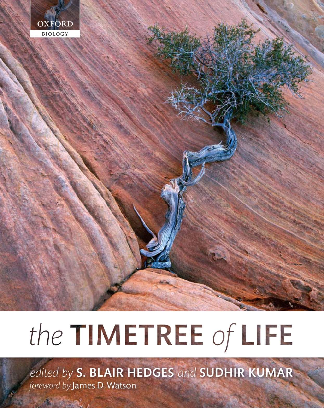

# the TIMETREE of LIFE

edited by S. BLAIR HEDGES and SUDHIR KUMAR foreword by James D. Watson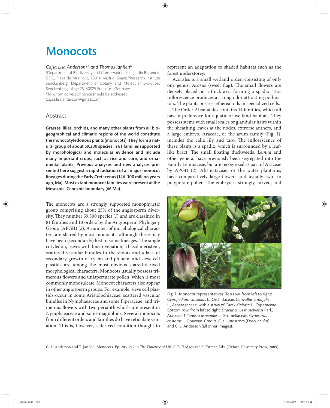## **Monocots**

#### *Cajsa Lisa Anderson*a,*\* and Thomas Janßen*<sup>b</sup>

a Department of Biodiversity and Conservation, Real Jardin Botanico, CSIC, Plaza de Murillo 2, 28014 Madrid, Spain; <sup>b</sup>Research Institute Senckenberg, Department of Botany and Molecular Evolution, Senckenberganlage 25, 60325 Frankfurt, Germany \*To whom correspondence should be addressed (cajsa.lisa. anderson@gmail.com)

### Abstract

Grasses, lilies, orchids, and many other plants from all biogeographical and climatic regions of the world constitute the monocotyledonous plants (monocots). They form a natural group of about 59,300 species in 81 families supported by morphological and molecular evidence and include many important crops, such as rice and corn, and ornamental plants. Previous analyses and new analyses presented here suggest a rapid radiation of all major monocot lineages during the Early Cretaceous (146–100 million years ago, Ma). Most extant monocot families were present at the Mesozoic–Cenozoic boundary (66 Ma).

The monocots are a strongly supported monophyletic group comprising about 25% of the angiosperm diversity. They number 59,300 species  $(1)$  and are classified in 81 families and 10 orders by the Angiosperm Phylogeny Group (APGII) (*2*). A number of morphological characters are shared by most monocots, although these may have been (secondarily) lost in some lineages. The single cotyledon, leaves with linear venation, a basal meristem, scattered vascular bundles in the shoots and a lack of secondary growth of xylem and phloem, and sieve cell plastids are among the most obvious shared-derived morphological characters. Monocots usually possess trimerous flowers and uniaperturate pollen, which is most commonly monosulcate. Monocot characters also appear in other angiosperm groups. For example, sieve cell plastids occur in some Aristolochiaceae, scattered vascular bundles in Nymphaeaceae and some Piperaceae, and trimerous flowers with two perianth whorls are present in Nymphaeaceae and some magnoliids. Several monocots from different orders and families do have reticulate venation. This is, however, a derived condition thought to

represent an adaptation to shaded habitats such as the forest understorey.

Acorales is a small wetland order, consisting of only one genus, *Acorus* (sweet flag). The small flowers are densely placed on a thick axis forming a spadix. This inflorescence produces a strong odor attracting pollinators. The plants possess ethereal oils in specialized cells.

The Order Alismatales contains 14 families, which all have a preference for aquatic or wetland habitats. They possess stems with small scales or glandular hairs within the sheathing leaves at the nodes, extrorse anthers, and a large embryo. Araceae, or the arum family (Fig. 1), includes the calla lily and taro. The inflorescence of these plants is a spadix, which is surrounded by a leaflike bract. The small floating duckweeds, *Lemna* and other genera, have previously been segregated into the Family Lemnaceae, but are recognized as part of Araceae by APGII (*2*). Alismataceae, or the water plantains, have comparatively large flowers and usually two- to polyporate pollen. The embryo is strongly curved, and



Fig. 1 Monocot representatives. Top row, from left to right: *Cypripedium calceolus* L., Orchidaceae; *Convallaria majalis* L., Asparagaceae, with a straw of *Carex digitata* L., Cyperaceae. Bottom row, from left to right: *Dracunculus muscivorus* Parl., Araceae; *Tillandsia usneoides* L., Bromeliaceae; *Cynosurus cristatus* L., Poaceae. Credits: Ola Lundström (*Dracunculus*) and C. L. Anderson (all other images).

C. L. Anderson and T. Janßen. Monocots. Pp. 203-212 in *The Timetree of Life*, S. B. Hedges and S. Kumar, Eds. (Oxford University Press, 2009).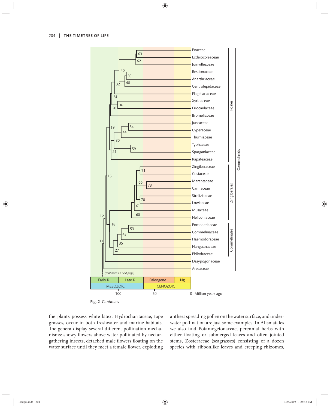

Fig. 2 *Continues*

the plants possess white latex. Hydrocharitaceae, tape grasses, occur in both freshwater and marine habitats. The genera display several different pollination mechanisms: showy flowers above water pollinated by nectargathering insects, detached male flowers floating on the water surface until they meet a female flower, exploding anthers spreading pollen on the water surface, and underwater pollination are just some examples. In Alismatales we also find Potamogetonaceae, perennial herbs with either floating or submerged leaves and often jointed stems, Zosteraceae (seagrasses) consisting of a dozen species with ribbonlike leaves and creeping rhizomes,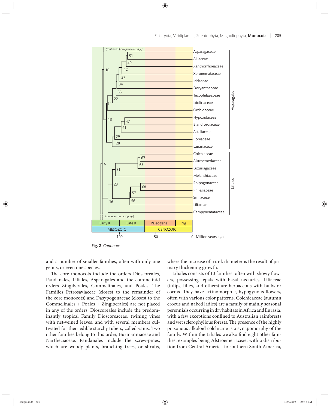

Fig. 2 *Continues*

and a number of smaller families, often with only one genus, or even one species.

The core monocots include the orders Dioscoreales, Pandanales, Liliales, Asparagales and the commelinid orders Zingiberales, Commelinales, and Poales. The Families Petrosaviaceae (closest to the remainder of the core monocots) and Dasypogonaceae (closest to the Commelinales + Poales + Zingiberales) are not placed in any of the orders. Dioscoreales include the predominantly tropical Family Dioscoreaceae, twining vines with net-veined leaves, and with several members cultivated for their edible starchy tubers, called yams. Two other families belong to this order, Burmanniaceae and Nartheciaceae. Pandanales include the screw-pines, which are woody plants, branching trees, or shrubs,

where the increase of trunk diameter is the result of primary thickening growth.

Liliales consists of 10 families, often with showy flowers, possessing tepals with basal nectaries. Liliaceae (tulips, lilies, and others) are herbaceous with bulbs or corms. They have actinomorphic, hypogynous flowers, often with various color patterns. Colchicaceae (autumn crocus and naked ladies) are a family of mainly seasonal perennials occurring in dry habitats in Africa and Eurasia, with a few exceptions confined to Australian rainforests and wet sclerophyllous forests. The presence of the highly poisonous alkaloid colchicine is a synapomorphy of the family. Within the Liliales we also find eight other families, examples being Alstroemeriaceae, with a distribution from Central America to southern South America,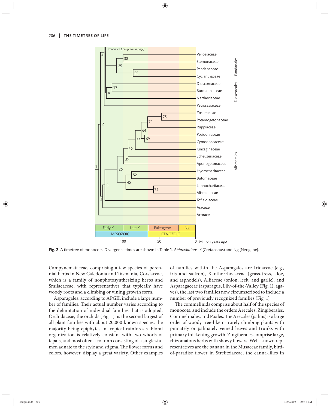

Fig. 2 A timetree of monocots. Divergence times are shown in Table 1. *Abbreviations*: K (Cretaceous) and Ng (Neogene).

Campynemataceae, comprising a few species of perennial herbs in New Caledonia and Tasmania, Corsiaceae, which is a family of nonphotosynthesizing herbs and Smilacaceae, with representatives that typically have woody roots and a climbing or vining growth form.

Asparagales, according to APGII, include a large number of families. Their actual number varies according to the delimitation of individual families that is adopted. Orchidaceae, the orchids (Fig. 1), is the second largest of all plant families with about 20,000 known species, the majority being epiphytes in tropical rainforests. Floral organization is relatively constant with two whorls of tepals, and most often a column consisting of a single stamen adnate to the style and stigma. The flower forms and colors, however, display a great variety. Other examples

of families within the Asparagales are Iridaceae (e.g., iris and saffron), Xanthorrhoeaceae (grass-tress, aloe, and asphodels), Alliaceae (onion, leek, and garlic), and Asparagaceae (asparagus, Lily-of-the-Valley (Fig. 1), agaves), the last two families now circumscribed to include a number of previously recognized families (Fig. 1).

The commelinids comprise about half of the species of monocots, and include the orders Arecales, Zingiberales, Commelinales, and Poales. The Arecales (palms) is a large order of woody tree-like or rarely climbing plants with pinnately or palmately veined leaves and trunks with primary thickening growth. Zingiberales comprise large, rhizomatous herbs with showy flowers. Well-known representatives are the banana in the Musaceae family, birdof-paradise flower in Strelitziaceae, the canna-lilies in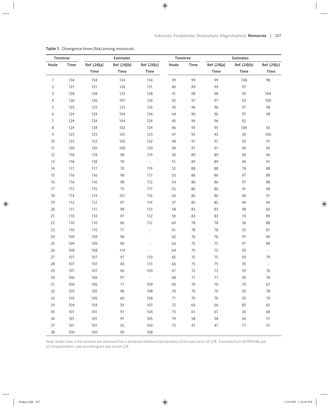| Timetree       |      | <b>Estimates</b> |              |                          | Timetree |        | <b>Estimates</b> |              |                          |
|----------------|------|------------------|--------------|--------------------------|----------|--------|------------------|--------------|--------------------------|
| Node           | Time | Ref. (24)(a)     | Ref. (24)(b) | Ref. (24)(c)             | Node     | Time   | Ref. (24)(a)     | Ref. (24)(b) | Ref. (24)(c)             |
|                |      | Time             | Time         | Time                     |          |        | Time             | Time         | Time                     |
| $\mathbf{1}$   | 134  | 134              | 134          | 134                      | 39       | 99     | 99               | 108          | 98                       |
| $\overline{2}$ | 131  | 131              | 124          | 131                      | 40       | 99     | 99               | 97           | $\overline{\phantom{a}}$ |
| 3              | 128  | 128              | 123          | 128                      | 41       | 98     | 98               | 39           | 104                      |
| 4              | 126  | 126              | 107          | 126                      | 42       | 97     | 97               | 53           | 100                      |
| 5              | 125  | 125              | 123          | 124                      | 43       | 96     | 96               | 97           | 98                       |
| 6              | 124  | 124              | 104          | 124                      | 44       | 96     | 96               | 97           | 98                       |
| 7              | 124  | 124              | 104          | 124                      | 45       | 96     | 96               | 92           | $\omega$                 |
| 8              | 124  | 124              | 102          | 124                      | 46       | 93     | 93               | 106          | 92                       |
| 9              | 123  | 123              | 101          | 123                      | 47       | 93     | 93               | 39           | 100                      |
| $10$           | 122  | 122              | 102          | 122                      | 48       | 91     | 91               | 92           | 97                       |
| 11             | 120  | 120              | 100          | 120                      | 49       | 91     | 91               | 45           | 93                       |
| 12             | 118  | 118              | 98           | 119                      | 50       | 89     | 89               | 90           | 96                       |
| 13             | 118  | 118              | 70           | $\overline{\phantom{a}}$ | 51       | 89     | 89               | 40           | 91                       |
| 14             | 117  | 117              | 70           | 119                      | 52       | 88     | 88               | 78           | 88                       |
| 15             | 116  | 116              | 98           | 117                      | 53       | 86     | 86               | 97           | 89                       |
| 16             | 116  | 116              | 98           | 112                      | 54       | 86     | 86               | 97           | 88                       |
| 17             | 115  | 115              | 75           | 117                      | 55       | 86     | 86               | 41           | 98                       |
| 18             | 114  | 114              | 101          | 116                      | 56       | 86     | 86               | 40           | 91                       |
| 19             | 112  | 112              | 97           | 114                      | 57       | 85     | 85               | 40           | 90                       |
| 20             | 111  | 111              | 98           | 113                      | 58       | 83     | 83               | 98           | 82                       |
| 21             | 110  | 110              | 97           | 112                      | 59       | 83     | 83               | 70           | 89                       |
| 22             | 110  | 110              | 66           | 112                      | 60       | 78     | 78               | 36           | 88                       |
| 23             | 110  | 110              | 71           | $\overline{\phantom{a}}$ | 61       | 78     | 78               | 35           | 87                       |
| 24             | 109  | 109              | 98           | ÷,                       | 62       | 76     | 76               | 97           | 90                       |
| 25             | 109  | 109              | 90           | ÷,                       | 63       | 75     | 75               | 97           | 89                       |
| 26             | 108  | 108              | 114          | $\frac{1}{2}$            | 64       | 75     | 75               | 92           | $\overline{\phantom{a}}$ |
| 27             | 107  | 107              | 97           | 110                      | 65       | 75     | 75               | 59           | 79                       |
| 28             | 107  | 107              | 40           | 113                      | 66       | 75     | 75               | 35           |                          |
| 29             | 107  | 107              | 40           | 109                      | 67       | 72     | 72               | 59           | 76                       |
| 30             | 106  | 106              | 97           | $\overline{\phantom{a}}$ | 68       | 71     | 71               | 30           | 76                       |
| 31             | 106  | 106              | 71           | 109                      | 69       | $70\,$ | 70               | $70\,$       | 67                       |
| 32             | 105  | 105              | 98           | 108                      | 70       | 70     | 70               | 35           | 78                       |
| 33             | 105  | 105              | 60           | 108                      | 71       | $70\,$ | 70               | 35           | 79                       |
| 34             | 104  | 104              | 59           | 107                      | 72       | 66     | 66               | 85           | 65                       |
| 35             | 101  | 101              | 97           | 104                      | 73       | 61     | 61               | 26           | 68                       |
| 36             | 101  | 101              | 97           | 105                      | 74       | 58     | 58               | 46           | 57                       |
| 37             | 101  | 101              | 55           | 103                      | $75\,$   | 47     | 47               | 77           | 47                       |
| 38             | 100  | 100              | 90           | 108                      |          |        |                  |              |                          |

Table 1. Divergence times (Ma) among monocots.

Note: Node times in the timetree are obtained from a penalized likelihood (a) reanalysis of the data set in ref. (24). Estimates from (b) PATHd8 and (c) nonparameteric rate smoothing are also shown (24).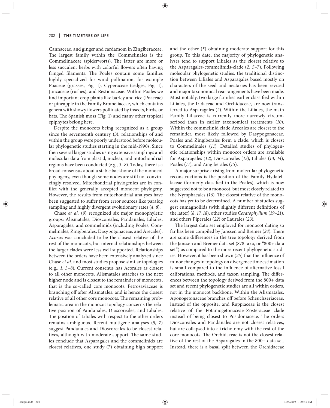Cannaceae, and ginger and cardamom in Zingiberaceae. The largest family within the Commelinales is the Commelinaceae (spiderworts). The latter are more or less succulent herbs with colorful flowers often having fringed filaments. The Poales contain some families highly specialized for wind pollination, for example Poaceae (grasses, Fig. 1), Cyperaceae (sedges, Fig. 1), Juncaceae (rushes), and Restionaceae. Within Poales we find important crop plants like barley and rice (Poaceae) or pineapple in the Family Bromeliaceae, which contains genera with showy flowers pollinated by insects, birds, or bats. The Spanish moss (Fig. 1) and many other tropical epiphytes belong here.

Despite the monocots being recognized as a group since the seventeenth century (*3*), relationships of and within the group were poorly understood before molecular phylogenetic studies starting in the mid-1990s. Since then several larger studies using extensive samplings and molecular data from plastid, nuclear, and mitochondrial regions have been conducted (e.g., *3–8*). Today, there is a broad consensus about a stable backbone of the monocot phylogeny, even though some nodes are still not convincingly resolved. Mitochondrial phylogenies are in conflict with the generally accepted monocot phylogeny. However, the results from mitochondrial analyses have been suggested to suffer from error sources like paralog sampling and highly divergent evolutionary rates (*4, 8*).

Chase *et al.* (*9*) recognized six major monophyletic groups: Alismatales, Dioscoreales, Pandanales, Liliales, Asparagales, and commelinids (including Poales, Commelinales, Zingiberales, Dasypogonaceae, and Arecales). *Acorus* was concluded to be the closest relative of the rest of the monocots, but internal relationships between the larger clades were less well supported. Relationships between the orders have been extensively analyzed since Chase *et al.* and most studies propose similar topologies (e.g., *1, 3–8*). Current consenus has Acorales as closest to all other monocots. Alismatales attaches to the next higher node and is closest to the remainder of monocots, that is the so-called core monocots. Petrosaviaceae is branching off after Alismatales, and is hence the closest relative of all other core monocots. The remaining problematic area in the monocot topology concerns the relative position of Pandanales, Dioscoreales, and Liliales. The position of Liliales with respect to the other orders remains ambiguous. Recent multigene analyses (*5, 7*) suggest Pandanales and Dioscoreales to be closest relatives, although with moderate support. The same studies conclude that Asparagales and the commelinids are closest relatives, one study (7) obtaining high support and the other (*5*) obtaining moderate support for this group. To this date, the majority of phylogenetic analyses tend to support Liliales as the closest relative to the Asparagales-commelinids-clade (*2, 5–7*). Following molecular phylogenetic studies, the traditional distinction between Liliales and Asparagales based mostly on characters of the seed and nectaries has been revised and major taxonomical rearrangements have been made. Most notably, two large families earlier classified within Liliales, the Iridaceae and Orchidaceae, are now transferred to Asparagales (*2*). Within the Liliales, the main Family Liliaceae is currently more narrowly circumscribed than in earlier taxonomical treatments (*10*). Within the commelinid clade Arecales are closest to the remainder, most likely followed by Dasypogonaceae. Poales and Zingiberales form a clade, which is closest to Commelinales (*11*). Detailed studies of phylogenetic relationships within monocot orders are available for Asparagales (*12*), Dioscoreales (*13*), Liliales (*13, 14*), Poales (*11*), and Zingiberales (*15*).

A major surprise arising from molecular phylogenetic reconstructions is the position of the Family Hydatellaceae (formerly classified in the Poales), which is now suggested not to be a monocot, but most closely related to the Nymphaeales (16). The closest relative of the monocots has yet to be determined. A number of studies suggest eumagnoliids (with slightly different definitions of the latter) (*8*, *17, 18*), other studies *Ceratophyllum* (*19–21*), and others Piperales (*22*) or Laurales (*23*).

The largest data set employed for monocot dating so far has been compiled by Janssen and Bremer (24). There are some differences in the tree topology derived from the Janssen and Bremer data set (878 taxa, or "800+ data set") as compared to the more recent phylogenetic studies. However, it has been shown (25) that the influence of minor changes in topology on divergence time estimation is small compared to the influence of alternative fossil calibrations, methods, and taxon sampling. The differences between the topology derived from the 800+ data set and recent phylogenetic studies are all within orders, not in the monocot backbone. Within the Alismatales, Aponogetonaceae branches off before Scheuchzeriaceae, instead of the opposite, and Ruppiaceae is the closest relative of the Potamogetonaceae–Zosteraceae clade instead of being closest to Posidoniaceae. The orders Dioscoreales and Pandanales are not closest relatives, but are collapsed into a trichotomy with the rest of the core monocots. The Orchidaceae is not the closest relative of the rest of the Asparagales in the 800+ data set. Instead, there is a basal split between the Orchidaceae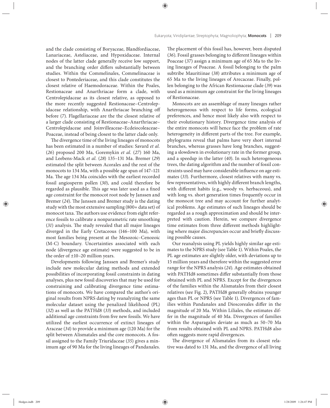and the clade consisting of Boryaceae, Blandfordiaceae, Lanariaceae, Asteliaceae, and Hypoxidaceae. Internal nodes of the latter clade generally receive low support, and the branching order differs substantially between stu dies. Within the Commelinales, Commelinaceae is closest to Pontederiaceae, and this clade constitutes the closest relative of Haemodoraceae. Within the Poales, Restionaceae and Anarthriacae form a clade, with Centrolepidaceae as its closest relative, as opposed to the more recently suggested Restionaceae–Centrolepidaceae relationship, with Anarthriacae branching off before (*7*). Flagellariaceae are the the closest relative of a larger clade consisting of Restionaceae–Anarthriacae– Centrolepidaceae and Joinvilleaceae–Ecdeiocoleaceae– Poaceae, instead of being closest to the latter clade only.

The divergence time of the living lineages of monocots has been estimated in a number of studies: Savard *et al.* (*26*) proposed 200 Ma, Goremykin *et al.* (*27*) 160 Ma, and Leebens-Mack *et al.* (*28*) 135–131 Ma. Bremer (*29*) estimated the split between Acorales and the rest of the monocots to 134 Ma, with a possible age span of 147–121 Ma. The age 134 Ma coincides with the earliest recorded fossil angiosperm pollen (30), and could therefore be regarded as plausible. This age was later used as a fixed age constraint for the monocot root node by Janssen and Bremer (24). The Janssen and Bremer study is the dating study with the most extensive sampling (800+ data set) of monocot taxa. The authors use evidence from eight reference fossils to calibrate a nonparametric rate smoothing (31) analysis. The study revealed that all major lineages diverged in the Early Cretaceous (146–100 Ma), with most families being present at the Mesozoic–Cenozoic (M-C) boundary. Uncertainties associated with each node (divergence age estimate) were suggested to be in the order of  $\pm$ 10–20 million years.

Developments following Janssen and Bremer's study include new molecular dating methods and extended possibilities of incorporating fossil constraints in dating analyses, plus new fossil discoveries that may be used for constraining and calibrating divergence time estimations of monocots. We have compared the author's original results from NPRS dating by reanalyzing the same molecular dataset using the penalized likelihood (PL) (*32*) as well as the PATHd8 (*33*) methods, and included additional age constraints from five new fossils. We have utilized the earliest occurrence of extinct lineages of Araceae (*34*) to provide a minimum age (120 Ma) for the split between Alismatales and the core monocots. A fossil assigned to the Family Triuridaceae (*35*) gives a minimum age of 90 Ma for the living lineages of Pandanales.

The placement of this fossil has, however, been disputed (36). Fossil grasses belonging to different lineages within Poaceae (*37*) assign a minimum age of 65 Ma to the living lineages of Poaceae. A fossil belonging to the palm subtribe Mauritiinae (*38*) attributes a minimum age of 65 Ma to the living lineages of Arecaceae. Finally, pollen belonging to the African Restionaceae clade (*39*) was used as a minimum age constraint for the living lineages of Restionaceae.

Monocots are an assemblage of many lineages rather heterogeneous with respect to life forms, ecological preferences, and hence most likely also with respect to their evolutionary history. Divergence time analysis of the entire monocots will hence face the problem of rate heterogeneity in different parts of the tree. For example, phylograms reveal that palms have very short internal branches, whereas grasses have long branches, suggesting a slowdown in evolutionary rate in the former group, and a speedup in the latter (*40*). In such heterogeneous trees, the dating algorithm and the number of fossil constraints used may have considerable influence on age estimates (*33*). Furthermore, closest relatives with many vs. few representatives, with highly different branch lengths, with different habits (e.g., woody vs. herbaceous), and with long vs. short generation times frequently occur in the monocot tree and may account for further analytical problems. Age estimates of such lineages should be regarded as a rough approximation and should be interpreted with caution. Herein, we compare divergence time estimates from three different methods highlighting where major discrepancies occur and briefly discussing possible causes.

Our reanalysis using PL yields highly similar age estimates to the NPRS study (see Table 1). Within Poales, the PL age estimates are slightly older, with deviations up to 15 million years and therefore within the suggested error range for the NPRS analysis (*24*). Age estimates obtained with PATHd8 sometimes differ substantially from those obtained with PL and NPRS. Except for the divergences of the families within the Alismatales from their closest relatives (see Fig. 2), PATHd8 generally obtains younger ages than PL or NPRS (see Table 1). Divergences of families within Pandanales and Dioscoreales differ in the magnitude of 20 Ma. Within Liliales, the estimates differ in the magnitude of 40 Ma. Divergences of families within the Asparagales deviate as much as 50-70 Ma from results obtained with PL and NPRS. PATHd8 also often suggests more rapid divergences.

The divergence of Alismatales from its closest relative was dated to 131 Ma, and the divergence of all living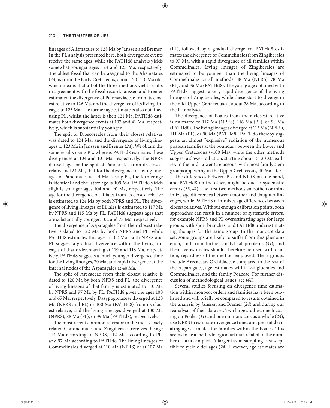lineages of Alismatales to 128 Ma by Janssen and Bremer. In the PL analysis presented here, both divergence events receive the same ages, while the PATHd8 analysis yields somewhat younger ages, 124 and 123 Ma, respectively. The oldest fossil that can be assigned to the Alismatales (*34*) is from the Early Cretaceous, about 120–110 Ma old, which means that all of the three methods yield results in agreement with the fossil record. Janssen and Bremer estimated the divergence of Petrosaviaceae from its closest relative to 126 Ma, and the divergence of its living lineages to 123 Ma. The former age estimate is also obtained using PL, whilst the latter is then 121 Ma. PATHd8 estimates both divergence events at 107 and 41 Ma, respectively, which is substantially younger.

The split of Dioscoreales from their closest relatives was dated to 124 Ma, and the divergence of living lineages to 123 Ma in Janssen and Bremer (*24*). We obtain the same results using PL, whereas PATHd8 estimates these divergences at 104 and 101 Ma, respectively. The NPRS derived age for the split of Pandanales from its closest relative is 124 Ma, that for the divergence of living lineages of Pandanales is 114 Ma. Using PL, the former age is identical and the latter age is 109 Ma. PATHd8 yields slightly younger ages 104 and 90 Ma, respectively. The age for the divergence of Liliales from its closest relative is estimated to 124 Ma by both NPRS and PL. The divergence of living lineages of Liliales is estimated to 117 Ma by NPRS and 115 Ma by PL. PATHd8 suggests ages that are substantially younger, 102 and 75 Ma, respectively.

The divergence of Asparagales from their closest relative is dated to 122 Ma by both NPRS and PL, while PATHd8 estimates this age to 102 Ma. Both NPRS and PL suggest a gradual divergence within the living lineages of that order, starting at 119 and 118 Ma, respectively. PATHd8 suggests a much younger divergence time for the living lineages, 70 Ma, and rapid divergence at the internal nodes of the Asparagales at 40 Ma.

The split of Arecaceae from their closest relative is dated to 120 Ma by both NPRS and PL, the divergence of living lineages of that family is estimated to 110 Ma by NPRS and 97 Ma by PL. PATHd8 gives the ages 100 and 65 Ma, respectively. Dasypogonaceae diverged at 120 Ma (NPRS and PL) or 100 Ma (PATHd8) from its closest relative, and the living lineages diverged at 100 Ma (NPRS), 88 Ma (PL), or 39 Ma (PATHd8), respectively.

The most recent common ancestor to the most closely related Commelinales and Zingiberales receives the age 114 Ma according to NPRS, 112 Ma according to PL, and 97 Ma according to PATHd8. The living lineages of Commelinales diverged at 110 Ma (NPRS) or at 107 Ma (PL), followed by a gradual divergence. PATHd8 estimates the divergence of Commelinales from Zingiberales to 97 Ma, with a rapid divergence of all families within Commelinales. Living lineages of Zingiberales are estimated to be younger than the living lineages of Commelinales by all methods: 88 Ma (NPRS), 78 Ma (PL), and 36 Ma (PATHd8). The young age obtained with PATHd8 suggests a very rapid divergence of the living lineages of Zingiberales, while these start to diverge in the mid-Upper Cretaceous, at about 78 Ma, according to the PL analyses.

The divergence of Poales from their closest relative is estimated to 117 Ma (NPRS), 116 Ma (PL), or 98 Ma (PATHd8). The living lineages diverged at 113 Ma (NPRS), 111 Ma (PL), or 98 Ma (PATHd8). PATHd8 thereby suggests an almost "explosive" radiation of the numerous poalean families at the boundary between the Lower and Upper Cretaceous  $(\sim 100$  Ma), while the other methods suggest a slower radiation, starting about 15–20 Ma earlier, in the mid-Lower Cretaceous, with most family stem groups appearing in the Upper Cretaceous, 40 Ma later.

The differences between PL and NPRS on one hand, and PATHd8 on the other, might be due to systematic errors (33, 41). The first two methods smoothen or minimize age differences between mother and daughter lineages, while PATHd8 minimizes age differences between closest relatives. Without enough calibration points, both approaches can result in a number of systematic errors, for example NPRS and PL overestimating ages for large groups with short branches, and PATHd8 underestimating the ages for the same group. In the monocot data set, some groups are likely to suffer from this phenomenon, and from further analytical problems (*41*), and their age estimates should therefore be used with caution, regardless of the method employed. These groups include Arecaceae, Orchidaceae compared to the rest of the Asparagales, age estimates within Zingiberales and Commelinales, and the family Poaceae. For further discussion of methodological issues, see (*41*).

Several studies focusing on divergence time estimation within monocot orders and families have been published and will briefly be compared to results obtained in the analysis by Janssen and Bremer (*24*) and during our reanalysis of their data set. Two large studies, one focusing on Poales (*11*) and one on monocots as a whole (*24*), use NPRS to estimate divergence times and present deviating age estimates for families within the Poales. This seems to be a methodological artifact related to the number of taxa sampled. A larger taxon sampling is susceptible to yield older ages (*24*). However, age estimates are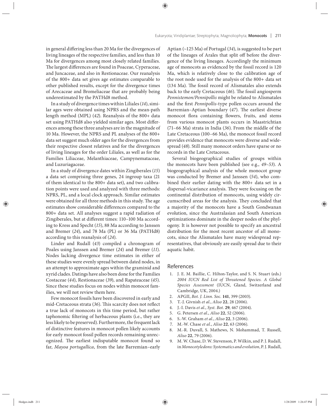in general differing less than 20 Ma for the divergences of living lineages of the respective families, and less than 10 Ma for divergences among most closely related families. The largest differences are found in Poaceae, Cyperaceae, and Juncaceae, and also in Restionaceae. Our reanalysis of the 800+ data set gives age estimates comparable to other published results, except for the divergence times of Arecaceae and Bromeliaceae that are probably being underestimated by the PATHd8 method.

In a study of divergence times within Liliales (*14*), similar ages were obtained using NPRS and the mean-path length method (MPL) (*42*). Reanalysis of the 800+ data set using PATHd8 also yielded similar ages. Most differences among these three analyses are in the magnitude of 10 Ma. However, the NPRS and PL analyses of the 800+ data set suggest much older ages for the divergences from their respective closest relatives and for the divergences of living lineages for the order Liliales, as well as for the Families Liliaceae, Melanthiaceae, Campynemataceae, and Luzuriagaceae.

In a study of divergence dates within Zingiberales (*15*) a data set comprising three genes, 24 ingroup taxa (21 of them identical to the 800+ data set), and two calibration points were used and analyzed with three methods: NPRS, PL, and a local clock approach. Similar estimates were obtained for all three methods in this study. The age estimates show considerable differences compared to the 800+ data set. All analyses suggest a rapid radiation of Zingiberales, but at different times: 110-100 Ma according to Kress and Specht (*15*), 88 Ma according to Janssen and Bremer (*24*), and 78 Ma (PL) or 36 Ma (PATHd8) according to this reanalysis of (*24*).

Linder and Rudall (43) compiled a chronogram of Poales using Janssen and Bremer (*24*) and Bremer (*11*). Nodes lacking divergence time estimates in either of these studies were evenly spread between dated nodes, in an attempt to approximate ages within the graminid and xyrid clades. Datings have also been done for the Families Costaceae (*44*), Restionaceae (*39*), and Rapateaceae (*45*). Since these studies focus on nodes within monocot families, we will not review them here.

Few monocot fossils have been discovered in early and mid-Cretaceous strata (36). This scarcity does not reflect a true lack of monocots in this time period, but rather taphonomic filtering of herbaceous plants (i.e., they are less likely to be preserved). Furthermore, the frequent lack of distinctive features in monocot pollen likely accounts for early monocot fossil pollen records remaining unrecognized. The earliest indisputable monocot found so far, *Mayoa portugallica*, from the late Barremian–early Aptian (~125 Ma) of Portugal (*34*), is suggested to be part of the lineages of Arales that split off before the divergence of the living lineages. Accordingly the minimum age of monocots as evidenced by the fossil record is 120 Ma, which is relatively close to the calibration age of the root node used for the analysis of the 800+ data set (134 Ma). The fossil record of Alismatales also extends back to the early Cretaceous (46). The fossil angiosperm *Pennistemon/Pennipollis* might be related to Alismatales and the first *Pennipollis*-type pollen occurs around the Barremian–Aptian boundary (47). The earliest diverse monocot flora containing flowers, fruits, and stems from various monocot plants occurs in Maastrichtian (71–66 Ma) strata in India (*36*). From the middle of the Late Cretaceous (100–66 Ma), the monocot fossil record provides evidence that monocots were diverse and widespread (*48*). Still many monocot orders have sparse or no records in the Late Cretaceous.

Several biogeographical studies of groups within the monocots have been published (see e.g., *49–53*). A biogeographical analysis of the whole monocot group was conducted by Bremer and Janssen (54), who combined their earlier dating with the 800+ data set in a dispersal-vicariance analysis. They were focusing on the continental distribution of monocots, using widely circumscribed areas for the analysis. They concluded that a majority of the monocots have a South Gondwanan evolution, since the Australasian and South American optimizations dominate in the deeper nodes of the phylogeny. It is however not possible to specify an ancestral distribution for the most recent ancestor of all monocots, since the Alismatales have many widespread representatives, that obviously are easily spread due to their aquatic habit.

#### References

- 1. J. E. M. Baillie, C. Hilton-Taylor, and S. N. Stuart (eds.) 2004 IUCN Red List of Threatened Species. A Global *Species Assessment* (IUCN, Gland, Switzerland and Cambridge, UK, 2004.)
- 2. APGII, *Bot. J. Linn. Soc.* **141**, 399 (2003).
- 3. T.-J. Givnish *et al.*, *Aliso* **22**, 28 (2006).
- 4. J.-I. Davis *et al.*, *Syst. Bot.* **29**, 467 (2004).
- 5. G. Petersen *et al.*, *Aliso* **22**, 52 (2006).
- 6. S.-W. Graham *et al.*, *Aliso* **22**, 3 (2006).
- 7. M.-W. Chase *et al.*, *Aliso* **22**, 63 (2006).
- 8. M.-R. Duvall, S. Mathews, N. Mohammad, T. Russell, *Aliso* **22**, 79 (2006).
- 9. M. W. Chase, D. W. Stevenson, P. Wilkin, and P. J. Rudall, in *Monocotyledons: Systematics and evolution*, P. J. Rudall,